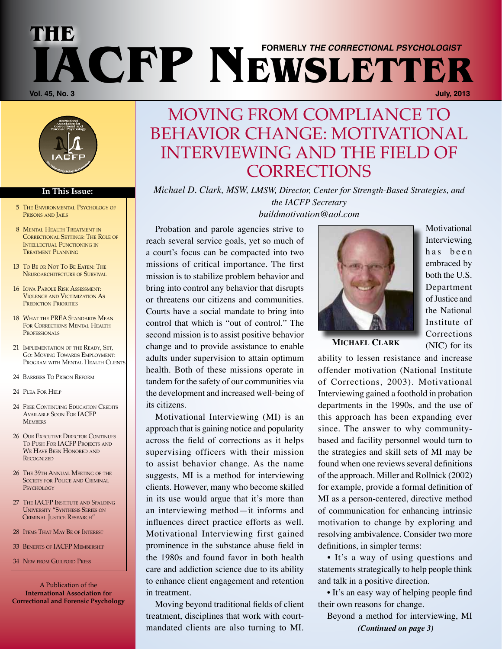# **The Vol. 45, No. 3 July, 2013 IACFP NEWSLETTER formerly** *The Correctional Psychologist*



#### **In This Issue:**

- 5 The Environmental Psychology of PRISONS AND JAILS
- 8 Mental Health Treatment in Correctional Settings: The Role of Intellectual Functioning in Treatment Planning
- 13 To Be or Not To Be Eaten: The NEUROARCHITECTURE OF SURVIVAL
- 16 Iowa Parole Risk Assessment: Violence and Victimization As PREDICTION PRIORITIES
- 18 WHAT THE PREA STANDARDS MEAN FOR CORRECTIONS MENTAL HEALTH PROFESSIONALS
- 21 IMPLEMENTATION OF THE READY, SET, Go: MOVING TOWARDS EMPLOYMENT: Program with Mental Health Clients
- 24 Barriers To Prison Reform
- 24 Plea For Help
- 24 FREE CONTINUING EDUCATION CREDITS Available Soon For IACFP **MEMBERS**
- 26 OUR EXECUTIVE DIRECTOR CONTINUES To Push For IACFP Projects and WE HAVE BEEN HONORED AND **RECOGNIZED**
- 26 The 39th Annual Meeting of the SOCIETY FOR POLICE AND CRIMINAL **PSYCHOLOGY**
- 27 THE IACFP INSTITUTE AND SPALDING University "Synthesis Series on Criminal Justice Research"
- 28 Items That May Be of Interest
- 33 BENEFITS OF **IACFP** MEMBERSHIP
- 34 New FROM GUILFORD PRESS

A Publication of the **International Association for Correctional and Forensic Psychology**

### MOVING FROM COMPLIANCE TO BEHAVIOR CHANGE: MOTIVATIONAL INTERVIEWING AND THE FIELD OF **CORRECTIONS**

*Michael D. Clark, MSW, LMSW, Director, Center for Strength-Based Strategies, and the IACFP Secretary*

*buildmotivation@aol.com*

Probation and parole agencies strive to reach several service goals, yet so much of a court's focus can be compacted into two missions of critical importance. The first mission is to stabilize problem behavior and bring into control any behavior that disrupts or threatens our citizens and communities. Courts have a social mandate to bring into control that which is "out of control." The second mission is to assist positive behavior change and to provide assistance to enable adults under supervision to attain optimum health. Both of these missions operate in tandem for the safety of our communities via the development and increased well-being of its citizens.

Motivational Interviewing (MI) is an approach that is gaining notice and popularity across the field of corrections as it helps supervising officers with their mission to assist behavior change. As the name suggests, MI is a method for interviewing clients. However, many who become skilled in its use would argue that it's more than an interviewing method—it informs and influences direct practice efforts as well. Motivational Interviewing first gained prominence in the substance abuse field in the 1980s and found favor in both health care and addiction science due to its ability to enhance client engagement and retention in treatment.

Moving beyond traditional fields of client treatment, disciplines that work with courtmandated clients are also turning to MI. *(Continued on page 3)*



Motivational Interviewing has been embraced by both the U.S. Department of Justice and the National Institute of Corrections (NIC) for its

**MICHAEL CLARK**

ability to lessen resistance and increase offender motivation (National Institute of Corrections, 2003). Motivational Interviewing gained a foothold in probation departments in the 1990s, and the use of this approach has been expanding ever since. The answer to why communitybased and facility personnel would turn to the strategies and skill sets of MI may be found when one reviews several definitions of the approach. Miller and Rollnick (2002) for example, provide a formal definition of MI as a person-centered, directive method of communication for enhancing intrinsic motivation to change by exploring and resolving ambivalence. Consider two more definitions, in simpler terms:

• It's a way of using questions and statements strategically to help people think and talk in a positive direction.

• It's an easy way of helping people find their own reasons for change.

Beyond a method for interviewing, MI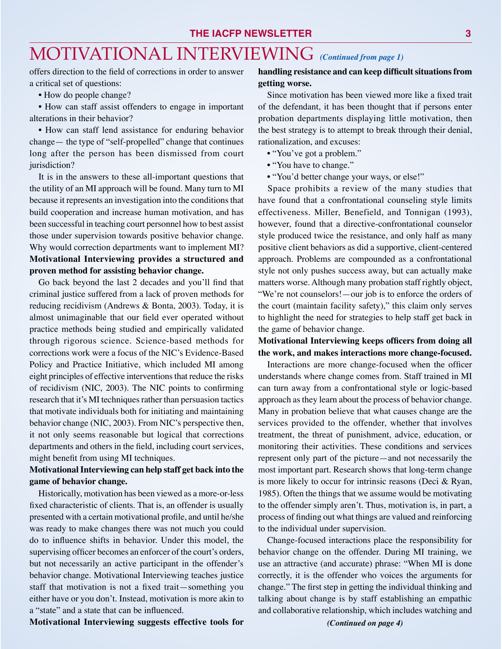## MOTIVATIONAL INTERVIEWING *(Continued from page 1)*

offers direction to the field of corrections in order to answer a critical set of questions:

• How do people change?

• How can staff assist offenders to engage in important alterations in their behavior?

• How can staff lend assistance for enduring behavior change— the type of "self-propelled" change that continues long after the person has been dismissed from court jurisdiction?

It is in the answers to these all-important questions that the utility of an MI approach will be found. Many turn to MI because it represents an investigation into the conditions that build cooperation and increase human motivation, and has been successful in teaching court personnel how to best assist those under supervision towards positive behavior change. Why would correction departments want to implement MI? **Motivational Interviewing provides a structured and proven method for assisting behavior change.**

Go back beyond the last 2 decades and you'll find that criminal justice suffered from a lack of proven methods for reducing recidivism (Andrews & Bonta, 2003). Today, it is almost unimaginable that our field ever operated without practice methods being studied and empirically validated through rigorous science. Science-based methods for corrections work were a focus of the NIC's Evidence-Based Policy and Practice Initiative, which included MI among eight principles of effective interventions that reduce the risks of recidivism (NIC, 2003). The NIC points to confirming research that it's MI techniques rather than persuasion tactics that motivate individuals both for initiating and maintaining behavior change (NIC, 2003). From NIC's perspective then, it not only seems reasonable but logical that corrections departments and others in the field, including court services, might benefit from using MI techniques.

### **Motivational Interviewing can help staff get back into the game of behavior change.**

Historically, motivation has been viewed as a more-or-less fixed characteristic of clients. That is, an offender is usually presented with a certain motivational profile, and until he/she was ready to make changes there was not much you could do to influence shifts in behavior. Under this model, the supervising officer becomes an enforcer of the court's orders, but not necessarily an active participant in the offender's behavior change. Motivational Interviewing teaches justice staff that motivation is not a fixed trait—something you either have or you don't. Instead, motivation is more akin to a "state" and a state that can be influenced.

- 
- 

Space prohibits a review of the many studies that have found that a confrontational counseling style limits effectiveness. Miller, Benefield, and Tonnigan (1993), however, found that a directive-confrontational counselor style produced twice the resistance, and only half as many positive client behaviors as did a supportive, client-centered approach. Problems are compounded as a confrontational style not only pushes success away, but can actually make matters worse. Although many probation staff rightly object, "We're not counselors!—our job is to enforce the orders of the court (maintain facility safety)," this claim only serves to highlight the need for strategies to help staff get back in the game of behavior change.

#### **Motivational Interviewing keeps officers from doing all the work, and makes interactions more change-focused.**

Interactions are more change-focused when the officer understands where change comes from. Staff trained in MI can turn away from a confrontational style or logic-based approach as they learn about the process of behavior change. Many in probation believe that what causes change are the services provided to the offender, whether that involves treatment, the threat of punishment, advice, education, or monitoring their activities. These conditions and services represent only part of the picture—and not necessarily the most important part. Research shows that long-term change is more likely to occur for intrinsic reasons (Deci & Ryan, 1985). Often the things that we assume would be motivating to the offender simply aren't. Thus, motivation is, in part, a process of finding out what things are valued and reinforcing to the individual under supervision.

Change-focused interactions place the responsibility for behavior change on the offender. During MI training, we use an attractive (and accurate) phrase: "When MI is done correctly, it is the offender who voices the arguments for change." The first step in getting the individual thinking and talking about change is by staff establishing an empathic and collaborative relationship, which includes watching and

**Motivational Interviewing suggests effective tools for** 

Since motivation has been viewed more like a fixed trait of the defendant, it has been thought that if persons enter probation departments displaying little motivation, then the best strategy is to attempt to break through their denial, rationalization, and excuses:

- "You've got a problem."
- "You have to change."
- "You'd better change your ways, or else!"

*(Continued on page 4)*